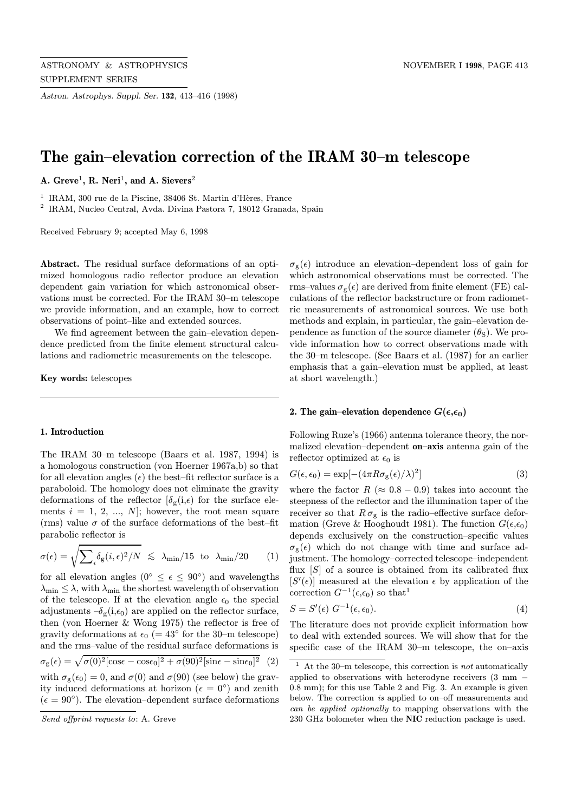Astron. Astrophys. Suppl. Ser. 132, 413–416 (1998)

# The gain–elevation correction of the IRAM 30–m telescope

A. Greve<sup>1</sup>, R. Neri<sup>1</sup>, and A. Sievers<sup>2</sup>

<sup>1</sup> IRAM, 300 rue de la Piscine, 38406 St. Martin d'Hères, France

<sup>2</sup> IRAM, Nucleo Central, Avda. Divina Pastora 7, 18012 Granada, Spain

Received February 9; accepted May 6, 1998

Abstract. The residual surface deformations of an optimized homologous radio reflector produce an elevation dependent gain variation for which astronomical observations must be corrected. For the IRAM 30–m telescope we provide information, and an example, how to correct observations of point–like and extended sources.

We find agreement between the gain–elevation dependence predicted from the finite element structural calculations and radiometric measurements on the telescope.

Key words: telescopes

#### 1. Introduction

The IRAM 30–m telescope (Baars et al. 1987, 1994) is a homologous construction (von Hoerner 1967a,b) so that for all elevation angles  $(\epsilon)$  the best–fit reflector surface is a paraboloid. The homology does not eliminate the gravity deformations of the reflector  $\delta_{\mathcal{L}}(i,\epsilon)$  for the surface elements  $i = 1, 2, ..., N$ ; however, the root mean square (rms) value  $\sigma$  of the surface deformations of the best–fit parabolic reflector is

$$
\sigma(\epsilon) = \sqrt{\sum_{i} \delta_{\rm g}(i,\epsilon)^2 / N} \, \lesssim \, \lambda_{\rm min} / 15 \, \text{ to } \, \lambda_{\rm min} / 20 \qquad (1)
$$

for all elevation angles ( $0° \le \epsilon \le 90°$ ) and wavelengths  $\lambda_{\min} \leq \lambda$ , with  $\lambda_{\min}$  the shortest wavelength of observation of the telescope. If at the elevation angle  $\epsilon_0$  the special adjustments  $-\delta_{\rm g}(i,\epsilon_0)$  are applied on the reflector surface, then (von Hoerner & Wong 1975) the reflector is free of gravity deformations at  $\epsilon_0$  (= 43° for the 30–m telescope) and the rms–value of the residual surface deformations is  $\sigma_{\rm g}(\epsilon) = \sqrt{\sigma(0)^2[\cos\epsilon - \cos\epsilon_0]^2 + \sigma(90)^2[\sin\epsilon - \sin\epsilon_0]^2}$  (2) with  $\sigma_{\rm g}(\epsilon_0) = 0$ , and  $\sigma(0)$  and  $\sigma(90)$  (see below) the grav-

ity induced deformations at horizon ( $\epsilon = 0^{\circ}$ ) and zenith  $(\epsilon = 90^{\circ})$ . The elevation–dependent surface deformations  $\sigma_{\rm g}(\epsilon)$  introduce an elevation–dependent loss of gain for which astronomical observations must be corrected. The rms–values  $\sigma_{\rm g}(\epsilon)$  are derived from finite element (FE) calculations of the reflector backstructure or from radiometric measurements of astronomical sources. We use both methods and explain, in particular, the gain–elevation dependence as function of the source diameter  $(\theta_{\rm S})$ . We provide information how to correct observations made with the 30–m telescope. (See Baars et al. (1987) for an earlier emphasis that a gain–elevation must be applied, at least at short wavelength.)

## 2. The gain–elevation dependence  $G(\epsilon,\epsilon_0)$

Following Ruze's (1966) antenna tolerance theory, the normalized elevation–dependent on–axis antenna gain of the reflector optimized at  $\epsilon_0$  is

$$
G(\epsilon, \epsilon_0) = \exp[-(4\pi R \sigma_{\rm g}(\epsilon)/\lambda)^2]
$$
\n(3)

where the factor  $R \approx 0.8 - 0.9$  takes into account the steepness of the reflector and the illumination taper of the receiver so that  $R \sigma_{\rm g}$  is the radio–effective surface deformation (Greve & Hooghoudt 1981). The function  $G(\epsilon,\epsilon_0)$ depends exclusively on the construction–specific values  $\sigma_{g}(\epsilon)$  which do not change with time and surface adjustment. The homology–corrected telescope–independent flux  $[S]$  of a source is obtained from its calibrated flux  $[S'(\epsilon)]$  measured at the elevation  $\epsilon$  by application of the correction  $G^{-1}(\epsilon,\epsilon_0)$  so that<sup>1</sup>

$$
S = S'(\epsilon) \ G^{-1}(\epsilon, \epsilon_0). \tag{4}
$$

The literature does not provide explicit information how to deal with extended sources. We will show that for the specific case of the IRAM 30–m telescope, the on–axis

Send offprint requests to: A. Greve

At the 30–m telescope, this correction is  $not$  automatically applied to observations with heterodyne receivers (3 mm − 0.8 mm); for this use Table 2 and Fig. 3. An example is given below. The correction is applied to on–off measurements and can be applied optionally to mapping observations with the 230 GHz bolometer when the NIC reduction package is used.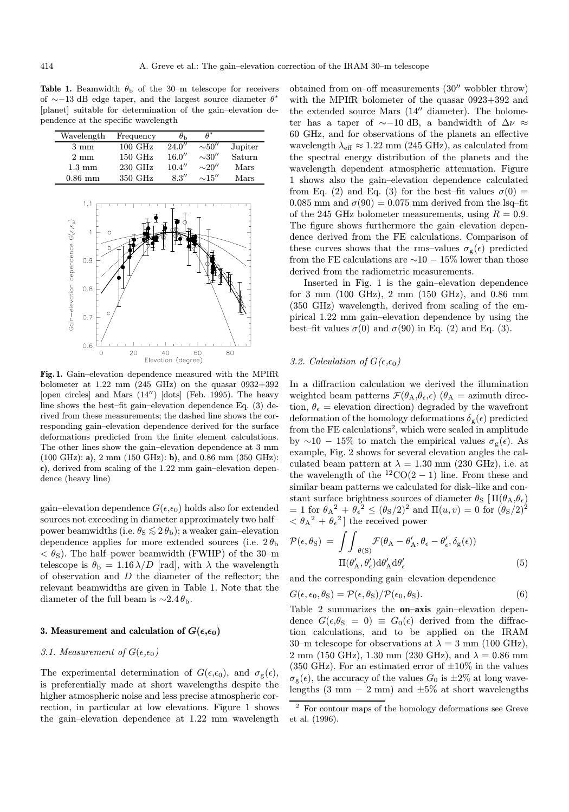Table 1. Beamwidth  $\theta_{\rm b}$  of the 30-m telescope for receivers of  $\sim$ −13 dB edge taper, and the largest source diameter  $\theta^*$ [planet] suitable for determination of the gain–elevation dependence at the specific wavelength

| Wavelength       | Frequency         | $\theta_{\rm h}$ | $A^*$       |         |
|------------------|-------------------|------------------|-------------|---------|
| $3 \text{ mm}$   | $100 \text{ GHz}$ | 24.0''           | $\sim 50''$ | Jupiter |
| $2 \text{ mm}$   | 150 GHz           | 16.0''           | $\sim$ 30'' | Saturn  |
| $1.3 \text{ mm}$ | 230 GHz           | 10.4''           | $\sim$ 20"  | Mars    |
| $0.86$ mm        | 350 GHz           | 8.3''            | $\sim15''$  | Mars    |
|                  |                   |                  |             |         |
| 1.1              |                   |                  |             |         |



Fig. 1. Gain–elevation dependence measured with the MPIfR bolometer at 1.22 mm  $(245 \text{ GHz})$  on the quasar  $0932+392$ [open circles] and Mars  $(14'')$  [dots] (Feb. 1995). The heavy line shows the best–fit gain–elevation dependence Eq. (3) derived from these measurements; the dashed line shows the corresponding gain–elevation dependence derived for the surface deformations predicted from the finite element calculations. The other lines show the gain–elevation dependence at 3 mm (100 GHz): a), 2 mm (150 GHz): b), and 0.86 mm (350 GHz): c), derived from scaling of the 1.22 mm gain–elevation dependence (heavy line)

gain–elevation dependence  $G(\epsilon,\epsilon_0)$  holds also for extended sources not exceeding in diameter approximately two half– power beamwidths (i.e.  $\theta_{\rm S} \lesssim 2 \theta_{\rm b}$ ); a weaker gain–elevation dependence applies for more extended sources (i.e.  $2\theta_{\rm b}$ )  $< \theta_{\rm S}$ ). The half–power beamwidth (FWHP) of the 30–m telescope is  $\theta_{\rm b} = 1.16 \lambda/D$  [rad], with  $\lambda$  the wavelength of observation and D the diameter of the reflector; the relevant beamwidths are given in Table 1. Note that the diameter of the full beam is  $\sim$ 2.4 $\theta_{\rm b}$ .

#### 3. Measurement and calculation of  $G(\epsilon,\epsilon_0)$

## 3.1. Measurement of  $G(\epsilon,\epsilon_0)$

The experimental determination of  $G(\epsilon,\epsilon_0)$ , and  $\sigma_{\epsilon}(\epsilon)$ , is preferentially made at short wavelengths despite the higher atmospheric noise and less precise atmospheric correction, in particular at low elevations. Figure 1 shows the gain–elevation dependence at 1.22 mm wavelength obtained from on–off measurements  $(30''$  wobbler throw) with the MPIfR bolometer of the quasar 0923+392 and the extended source Mars  $(14'' \text{ diameter})$ . The bolometer has a taper of  $\sim$ −10 dB, a bandwidth of  $\Delta \nu \approx$ 60 GHz, and for observations of the planets an effective wavelength  $\lambda_{\text{eff}} \approx 1.22 \text{ mm}$  (245 GHz), as calculated from the spectral energy distribution of the planets and the wavelength dependent atmospheric attenuation. Figure 1 shows also the gain–elevation dependence calculated from Eq. (2) and Eq. (3) for the best–fit values  $\sigma(0)$  = 0.085 mm and  $\sigma(90) = 0.075$  mm derived from the lsq-fit of the 245 GHz bolometer measurements, using  $R = 0.9$ . The figure shows furthermore the gain–elevation dependence derived from the FE calculations. Comparison of these curves shows that the rms–values  $\sigma_{\rm g}(\epsilon)$  predicted from the FE calculations are  $\sim$ 10 − 15% lower than those derived from the radiometric measurements.

Inserted in Fig. 1 is the gain–elevation dependence for 3 mm (100 GHz), 2 mm (150 GHz), and 0.86 mm (350 GHz) wavelength, derived from scaling of the empirical 1.22 mm gain–elevation dependence by using the best–fit values  $\sigma(0)$  and  $\sigma(90)$  in Eq. (2) and Eq. (3).

# 3.2. Calculation of  $G(\epsilon,\epsilon_0)$

In a diffraction calculation we derived the illumination weighted beam patterns  $\mathcal{F}(\theta_A, \theta_{\epsilon}, \epsilon)$  ( $\theta_A =$  azimuth direction,  $\theta_{\epsilon}$  = elevation direction) degraded by the wavefront deformation of the homology deformations  $\delta_{g}(\epsilon)$  predicted from the  $FE$  calculations<sup>2</sup>, which were scaled in amplitude by  $\sim$ 10 − 15% to match the empirical values  $\sigma_{\rm g}(\epsilon)$ . As example, Fig. 2 shows for several elevation angles the calculated beam pattern at  $\lambda = 1.30$  mm (230 GHz), i.e. at the wavelength of the  ${}^{12}CO(2-1)$  line. From these and similar beam patterns we calculated for disk–like and constant surface brightness sources of diameter  $\theta_{\rm S}$   $\Pi(\theta_{\rm A}, \theta_{\epsilon})$ = 1 for  $\theta_A^2 + \theta_\epsilon^2 \leq (\theta_S/2)^2$  and  $\Pi(u, v) = 0$  for  $(\theta_S/2)^2$  $<\theta_A^2 + \theta_{\epsilon}^2$  the received power

$$
\mathcal{P}(\epsilon, \theta_{\rm S}) = \iint_{\theta(\rm S)} \mathcal{F}(\theta_{\rm A} - \theta'_{\rm A}, \theta_{\epsilon} - \theta'_{\epsilon}, \delta_{\rm g}(\epsilon))
$$

$$
\Pi(\theta'_{\rm A}, \theta'_{\epsilon}) d\theta'_{\rm A} d\theta'_{\epsilon} \tag{5}
$$

and the corresponding gain–elevation dependence

$$
G(\epsilon, \epsilon_0, \theta_{\rm S}) = \mathcal{P}(\epsilon, \theta_{\rm S}) / \mathcal{P}(\epsilon_0, \theta_{\rm S}). \tag{6}
$$

Table 2 summarizes the **on–axis** gain–elevation dependence  $G(\epsilon,\theta_{\rm S} = 0) \equiv G_0(\epsilon)$  derived from the diffraction calculations, and to be applied on the IRAM 30–m telescope for observations at  $\lambda = 3$  mm (100 GHz), 2 mm (150 GHz), 1.30 mm (230 GHz), and  $\lambda = 0.86$  mm (350 GHz). For an estimated error of  $\pm 10\%$  in the values  $\sigma_{\rm g}(\epsilon)$ , the accuracy of the values  $G_0$  is  $\pm 2\%$  at long wavelengths (3 mm  $-$  2 mm) and  $\pm 5\%$  at short wavelengths

 $^{\rm 2}$  For contour maps of the homology deformations see Greve et al. (1996).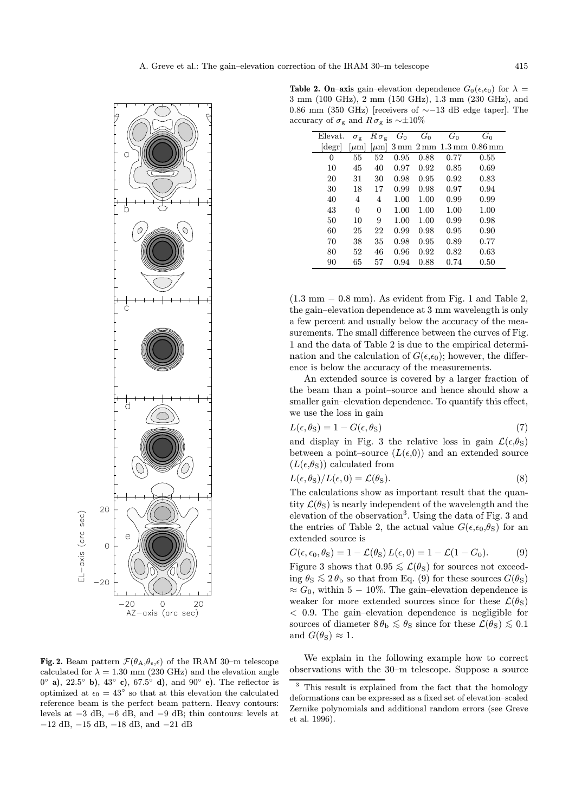

Fig. 2. Beam pattern  $\mathcal{F}(\theta_A, \theta_{\epsilon}, \epsilon)$  of the IRAM 30-m telescope calculated for  $\lambda = 1.30$  mm (230 GHz) and the elevation angle  $0°$  a),  $22.5°$  b),  $43°$  c),  $67.5°$  d), and  $90°$  e). The reflector is optimized at  $\epsilon_0$  =  $43^{\circ}$  so that at this elevation the calculated reference beam is the perfect beam pattern. Heavy contours: levels at −3 dB, −6 dB, and −9 dB; thin contours: levels at −12 dB, −15 dB, −18 dB, and −21 dB

**Table 2. On–axis** gain–elevation dependence  $G_0(\epsilon,\epsilon_0)$  for  $\lambda =$ 3 mm (100 GHz), 2 mm (150 GHz), 1.3 mm (230 GHz), and 0.86 mm (350 GHz) [receivers of  $\sim$ -13 dB edge taper]. The accuracy of  $\sigma_{\rm g}$  and  $R \sigma_{\rm g}$  is ~ $\pm 10\%$ 

| Elevat. | $\sigma_{\rm r}$ | $R\sigma_{\rm g}$ | $G_0$ | $G_0$ | $G_0$ | $G_0$                                                                        |
|---------|------------------|-------------------|-------|-------|-------|------------------------------------------------------------------------------|
| degr    | $ \mu m $        | $ \mu m $         |       |       |       | $3 \,\mathrm{mm}$ $2 \,\mathrm{mm}$ $1.3 \,\mathrm{mm}$ $0.86 \,\mathrm{mm}$ |
| 0       | 55               | 52                | 0.95  | 0.88  | 0.77  | 0.55                                                                         |
| 10      | 45               | 40                | 0.97  | 0.92  | 0.85  | 0.69                                                                         |
| 20      | 31               | 30                | 0.98  | 0.95  | 0.92  | 0.83                                                                         |
| 30      | 18               | 17                | 0.99  | 0.98  | 0.97  | 0.94                                                                         |
| 40      | 4                | 4                 | 1.00  | 1.00  | 0.99  | 0.99                                                                         |
| 43      | $\Omega$         | $\Omega$          | 1.00  | 1.00  | 1.00  | 1.00                                                                         |
| 50      | 10               | 9                 | 1.00  | 1.00  | 0.99  | 0.98                                                                         |
| 60      | 25               | 22                | 0.99  | 0.98  | 0.95  | 0.90                                                                         |
| 70      | 38               | 35                | 0.98  | 0.95  | 0.89  | 0.77                                                                         |
| 80      | 52               | 46                | 0.96  | 0.92  | 0.82  | 0.63                                                                         |
| 90      | 65               | 57                | 0.94  | 0.88  | 0.74  | 0.50                                                                         |

 $(1.3 \text{ mm} - 0.8 \text{ mm})$ . As evident from Fig. 1 and Table 2, the gain–elevation dependence at 3 mm wavelength is only a few percent and usually below the accuracy of the measurements. The small difference between the curves of Fig. 1 and the data of Table 2 is due to the empirical determination and the calculation of  $G(\epsilon,\epsilon_0)$ ; however, the difference is below the accuracy of the measurements.

An extended source is covered by a larger fraction of the beam than a point–source and hence should show a smaller gain–elevation dependence. To quantify this effect, we use the loss in gain

$$
L(\epsilon, \theta_{\rm S}) = 1 - G(\epsilon, \theta_{\rm S})\tag{7}
$$

and display in Fig. 3 the relative loss in gain  $\mathcal{L}(\epsilon,\theta_{\rm S})$ between a point–source  $(L(\epsilon,0))$  and an extended source  $(L(\epsilon,\theta_{\rm S}))$  calculated from

$$
L(\epsilon, \theta_{\rm S})/L(\epsilon, 0) = \mathcal{L}(\theta_{\rm S}).\tag{8}
$$

The calculations show as important result that the quantity  $\mathcal{L}(\theta_s)$  is nearly independent of the wavelength and the elevation of the observation<sup>3</sup>. Using the data of Fig. 3 and the entries of Table 2, the actual value  $G(\epsilon,\epsilon_0,\theta_S)$  for an extended source is

$$
G(\epsilon, \epsilon_0, \theta_{\rm S}) = 1 - \mathcal{L}(\theta_{\rm S}) L(\epsilon, 0) = 1 - \mathcal{L}(1 - G_0). \tag{9}
$$

Figure 3 shows that  $0.95 \leq \mathcal{L}(\theta_{\rm S})$  for sources not exceeding  $\theta_{\rm S} \lesssim 2 \theta_{\rm b}$  so that from Eq. (9) for these sources  $G(\theta_{\rm S})$  $\approx G_0$ , within 5 – 10%. The gain–elevation dependence is weaker for more extended sources since for these  $\mathcal{L}(\theta_{\rm S})$ < 0.9. The gain–elevation dependence is negligible for sources of diameter  $8 \theta_{\rm b} \lesssim \theta_{\rm S}$  since for these  $\mathcal{L}(\theta_{\rm S}) \lesssim 0.1$ and  $G(\theta_{\rm S}) \approx 1$ .

We explain in the following example how to correct observations with the 30–m telescope. Suppose a source

<sup>&</sup>lt;sup>3</sup> This result is explained from the fact that the homology deformations can be expressed as a fixed set of elevation–scaled Zernike polynomials and additional random errors (see Greve et al. 1996).